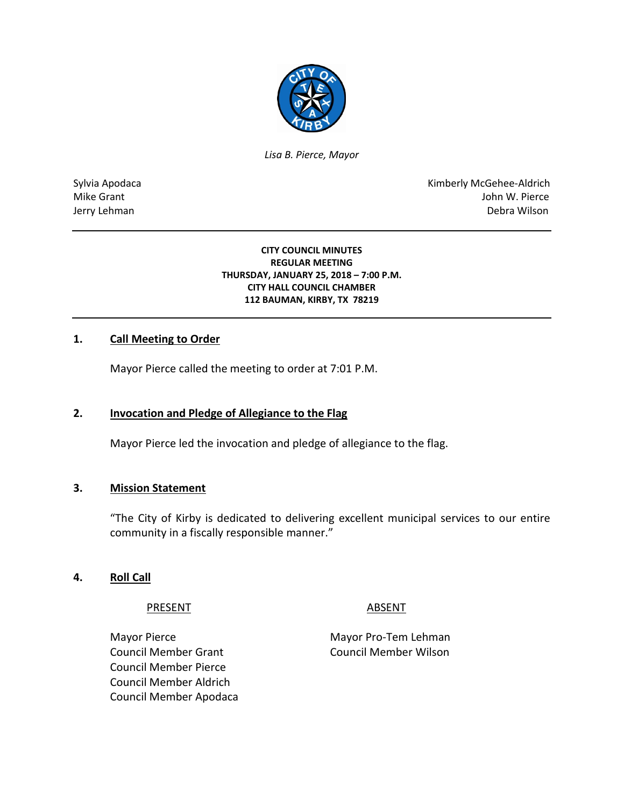

*Lisa B. Pierce, Mayor* 

Sylvia Apodaca National Apodaca Kimberly McGehee-Aldrich Mike Grant John W. Pierce Jerry Lehman Debra Wilson

> **CITY COUNCIL MINUTES REGULAR MEETING THURSDAY, JANUARY 25, 2018 – 7:00 P.M. CITY HALL COUNCIL CHAMBER 112 BAUMAN, KIRBY, TX 78219**

# **1. Call Meeting to Order**

Mayor Pierce called the meeting to order at 7:01 P.M.

# **2. Invocation and Pledge of Allegiance to the Flag**

Mayor Pierce led the invocation and pledge of allegiance to the flag.

## **3. Mission Statement**

"The City of Kirby is dedicated to delivering excellent municipal services to our entire community in a fiscally responsible manner."

#### **4. Roll Call**

PRESENT ABSENT

Mayor Pierce **Mayor Pro-Tem Lehman** Council Member Grant Council Member Wilson Council Member Pierce Council Member Aldrich Council Member Apodaca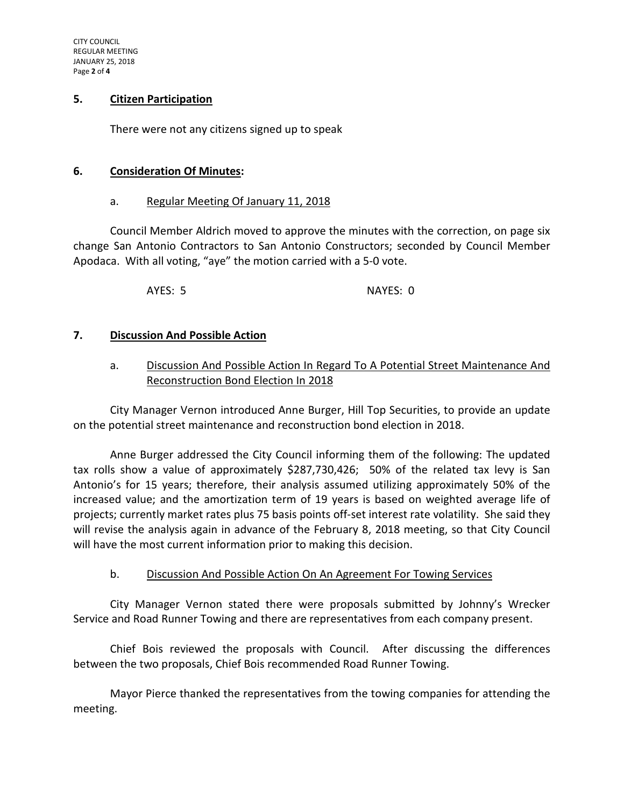## **5. Citizen Participation**

There were not any citizens signed up to speak

#### **6. Consideration Of Minutes:**

#### a. Regular Meeting Of January 11, 2018

Council Member Aldrich moved to approve the minutes with the correction, on page six change San Antonio Contractors to San Antonio Constructors; seconded by Council Member Apodaca. With all voting, "aye" the motion carried with a 5-0 vote.

AYES: 5 NAYES: 0

## **7. Discussion And Possible Action**

# a. Discussion And Possible Action In Regard To A Potential Street Maintenance And Reconstruction Bond Election In 2018

City Manager Vernon introduced Anne Burger, Hill Top Securities, to provide an update on the potential street maintenance and reconstruction bond election in 2018.

Anne Burger addressed the City Council informing them of the following: The updated tax rolls show a value of approximately \$287,730,426; 50% of the related tax levy is San Antonio's for 15 years; therefore, their analysis assumed utilizing approximately 50% of the increased value; and the amortization term of 19 years is based on weighted average life of projects; currently market rates plus 75 basis points off-set interest rate volatility. She said they will revise the analysis again in advance of the February 8, 2018 meeting, so that City Council will have the most current information prior to making this decision.

## b. Discussion And Possible Action On An Agreement For Towing Services

City Manager Vernon stated there were proposals submitted by Johnny's Wrecker Service and Road Runner Towing and there are representatives from each company present.

Chief Bois reviewed the proposals with Council. After discussing the differences between the two proposals, Chief Bois recommended Road Runner Towing.

Mayor Pierce thanked the representatives from the towing companies for attending the meeting.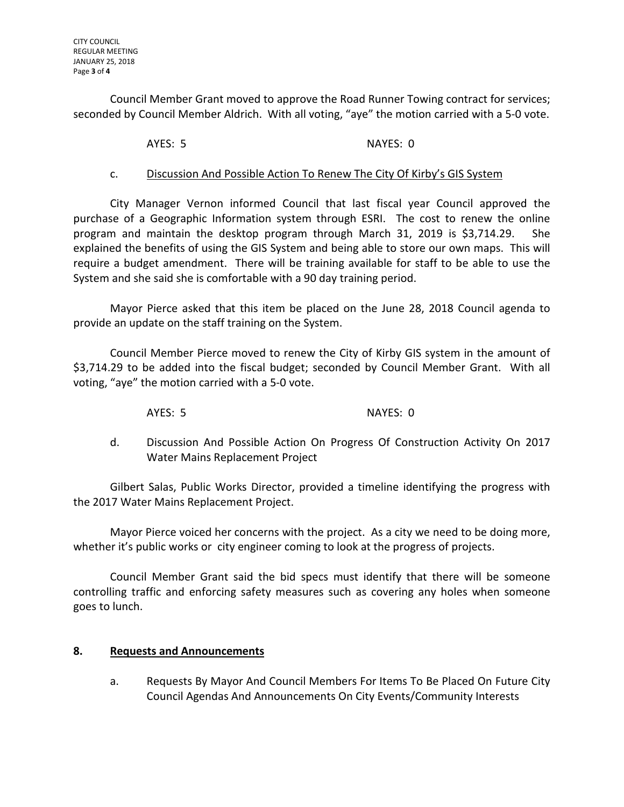Council Member Grant moved to approve the Road Runner Towing contract for services; seconded by Council Member Aldrich. With all voting, "aye" the motion carried with a 5-0 vote.

AYES: 5 NAYES: 0

# c. Discussion And Possible Action To Renew The City Of Kirby's GIS System

City Manager Vernon informed Council that last fiscal year Council approved the purchase of a Geographic Information system through ESRI. The cost to renew the online program and maintain the desktop program through March 31, 2019 is \$3,714.29. She explained the benefits of using the GIS System and being able to store our own maps. This will require a budget amendment. There will be training available for staff to be able to use the System and she said she is comfortable with a 90 day training period.

Mayor Pierce asked that this item be placed on the June 28, 2018 Council agenda to provide an update on the staff training on the System.

Council Member Pierce moved to renew the City of Kirby GIS system in the amount of \$3,714.29 to be added into the fiscal budget; seconded by Council Member Grant. With all voting, "aye" the motion carried with a 5-0 vote.

AYES: 5 NAYES: 0

d. Discussion And Possible Action On Progress Of Construction Activity On 2017 Water Mains Replacement Project

Gilbert Salas, Public Works Director, provided a timeline identifying the progress with the 2017 Water Mains Replacement Project.

Mayor Pierce voiced her concerns with the project. As a city we need to be doing more, whether it's public works or city engineer coming to look at the progress of projects.

Council Member Grant said the bid specs must identify that there will be someone controlling traffic and enforcing safety measures such as covering any holes when someone goes to lunch.

## **8. Requests and Announcements**

a. Requests By Mayor And Council Members For Items To Be Placed On Future City Council Agendas And Announcements On City Events/Community Interests